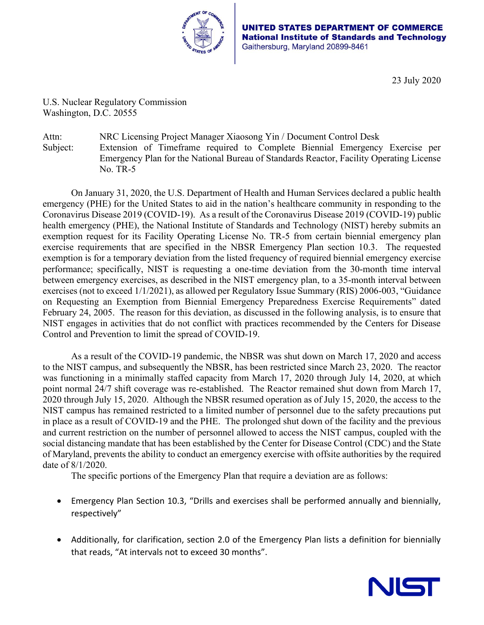

**ATES DEPARTMENT OF COMMERCE National Institute of Standards and Technology** Gaithersburg, Maryland 20899-8461

23 July 2020

U.S. Nuclear Regulatory Commission Washington, D.C. 20555

Attn: NRC Licensing Project Manager Xiaosong Yin / Document Control Desk Subject: Extension of Timeframe required to Complete Biennial Emergency Exercise per Emergency Plan for the National Bureau of Standards Reactor, Facility Operating License No. TR-5

On January 31, 2020, the U.S. Department of Health and Human Services declared a public health emergency (PHE) for the United States to aid in the nation's healthcare community in responding to the Coronavirus Disease 2019 (COVID-19). As a result of the Coronavirus Disease 2019 (COVID-19) public health emergency (PHE), the National Institute of Standards and Technology (NIST) hereby submits an exemption request for its Facility Operating License No. TR-5 from certain biennial emergency plan exercise requirements that are specified in the NBSR Emergency Plan section 10.3. The requested exemption is for a temporary deviation from the listed frequency of required biennial emergency exercise performance; specifically, NIST is requesting a one-time deviation from the 30-month time interval between emergency exercises, as described in the NIST emergency plan, to a 35-month interval between exercises (not to exceed 1/1/2021), as allowed per Regulatory Issue Summary (RIS) 2006-003, "Guidance on Requesting an Exemption from Biennial Emergency Preparedness Exercise Requirements" dated February 24, 2005. The reason for this deviation, as discussed in the following analysis, is to ensure that NIST engages in activities that do not conflict with practices recommended by the Centers for Disease Control and Prevention to limit the spread of COVID-19.

As a result of the COVID-19 pandemic, the NBSR was shut down on March 17, 2020 and access to the NIST campus, and subsequently the NBSR, has been restricted since March 23, 2020. The reactor was functioning in a minimally staffed capacity from March 17, 2020 through July 14, 2020, at which point normal 24/7 shift coverage was re-established. The Reactor remained shut down from March 17, 2020 through July 15, 2020. Although the NBSR resumed operation as of July 15, 2020, the access to the NIST campus has remained restricted to a limited number of personnel due to the safety precautions put in place as a result of COVID-19 and the PHE. The prolonged shut down of the facility and the previous and current restriction on the number of personnel allowed to access the NIST campus, coupled with the social distancing mandate that has been established by the Center for Disease Control (CDC) and the State of Maryland, prevents the ability to conduct an emergency exercise with offsite authorities by the required date of 8/1/2020.

The specific portions of the Emergency Plan that require a deviation are as follows:

- Emergency Plan Section 10.3, "Drills and exercises shall be performed annually and biennially, respectively"
- Additionally, for clarification, section 2.0 of the Emergency Plan lists a definition for biennially that reads, "At intervals not to exceed 30 months".